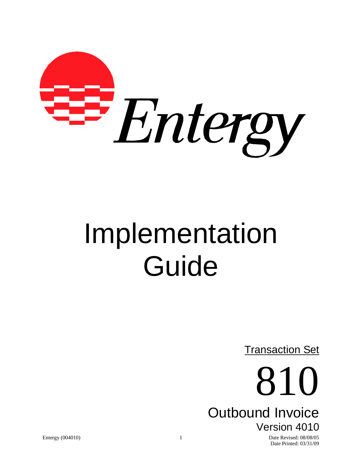

# Implementation Guide

**Transaction Set** 

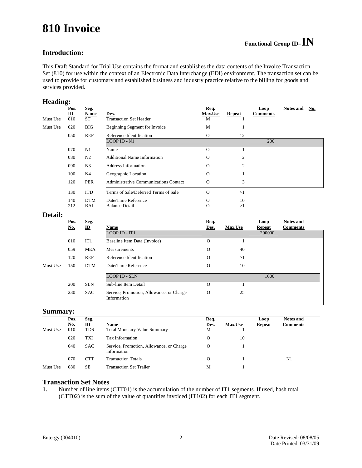# **810 Invoice**

#### **Introduction:**

This Draft Standard for Trial Use contains the format and establishes the data contents of the Invoice Transaction Set (810) for use within the context of an Electronic Data Interchange (EDI) environment. The transaction set can be used to provide for customary and established business and industry practice relative to the billing for goods and services provided.

#### **Heading:**

| Must Use       | Pos.<br>$\underline{\mathbf{ID}}$<br>010 | Seg.<br>Name<br>ST | Des.<br><b>Transaction Set Header</b>    | Req.<br><b>Max.Use</b><br>М | <b>Repeat</b>  | Loop<br><b>Comments</b> | <b>Notes and</b><br>No. |  |
|----------------|------------------------------------------|--------------------|------------------------------------------|-----------------------------|----------------|-------------------------|-------------------------|--|
| Must Use       | 020                                      | <b>BIG</b>         | Beginning Segment for Invoice            | M                           |                |                         |                         |  |
|                | 050                                      | REF                | Reference Identification<br>LOOP ID - N1 | $\mathbf{O}$                | 12             | 200                     |                         |  |
|                | 070                                      | N1                 | Name                                     | $\Omega$                    | 1              |                         |                         |  |
|                | 080                                      | N <sub>2</sub>     | <b>Additional Name Information</b>       | $\Omega$                    | $\overline{2}$ |                         |                         |  |
|                | 090                                      | N3                 | <b>Address Information</b>               | $\Omega$                    | $\overline{2}$ |                         |                         |  |
|                | 100                                      | N4                 | Geographic Location                      | $\Omega$                    |                |                         |                         |  |
|                | 120                                      | PER                | Administrative Communications Contact    | $\mathbf{O}$                | 3              |                         |                         |  |
|                | 130                                      | <b>ITD</b>         | Terms of Sale/Deferred Terms of Sale     | $\Omega$                    | >1             |                         |                         |  |
|                | 140                                      | <b>DTM</b>         | Date/Time Reference                      | $\Omega$                    | 10             |                         |                         |  |
|                | 212                                      | BAL                | <b>Balance Detail</b>                    | $\mathbf{O}$                | >1             |                         |                         |  |
| <b>Detail:</b> |                                          |                    |                                          |                             |                |                         |                         |  |
|                | Pos.                                     | Seg.               |                                          | Req.                        |                | Loop                    | <b>Notes and</b>        |  |

|          | Pos.<br><u>No.</u> | Seg.<br>$\mathbf{D}$ | <b>Name</b>                                             | Req.<br>Des. | <b>Max.Use</b> | Loop<br>Repeat | <b>Notes and</b><br><b>Comments</b> |
|----------|--------------------|----------------------|---------------------------------------------------------|--------------|----------------|----------------|-------------------------------------|
|          |                    |                      | LOOP ID - IT1                                           |              |                | 200000         |                                     |
|          | 010                | IT1                  | Baseline Item Data (Invoice)                            | $\mathbf 0$  |                |                |                                     |
|          | 059                | <b>MEA</b>           | Measurements                                            | $\mathbf 0$  | 40             |                |                                     |
|          | 120                | REF                  | Reference Identification                                | $\Omega$     | >1             |                |                                     |
| Must Use | 150                | <b>DTM</b>           | Date/Time Reference                                     | $\Omega$     | 10             |                |                                     |
|          |                    |                      | <b>LOOP ID - SLN</b>                                    |              |                | 1000           |                                     |
|          | 200                | <b>SLN</b>           | Sub-line Item Detail                                    | $\Omega$     |                |                |                                     |
|          | 230                | <b>SAC</b>           | Service, Promotion, Allowance, or Charge<br>Information | $\mathbf{O}$ | 25             |                |                                     |

#### **Summary:**

|          | $\tilde{\phantom{a}}$<br>Pos. | Seg.                       |                                                         | Req.      |                | Loop          | <b>Notes and</b> |
|----------|-------------------------------|----------------------------|---------------------------------------------------------|-----------|----------------|---------------|------------------|
| Must Use | <u>No.</u><br>010             | $\mathbf{D}$<br><b>TDS</b> | Name<br><b>Total Monetary Value Summary</b>             | Des.<br>M | <b>Max.Use</b> | <b>Repeat</b> | <b>Comments</b>  |
|          | 020                           | TXI                        | Tax Information                                         | O         | 10             |               |                  |
|          | 040                           | <b>SAC</b>                 | Service, Promotion, Allowance, or Charge<br>information | $\Omega$  |                |               |                  |
|          | 070                           | CTT                        | <b>Transaction Totals</b>                               | O         |                |               | N1               |
| Must Use | 080                           | SE                         | <b>Transaction Set Trailer</b>                          | М         |                |               |                  |

#### **Transaction Set Notes**

**1.** Number of line items (CTT01) is the accumulation of the number of IT1 segments. If used, hash total (CTT02) is the sum of the value of quantities invoiced (IT102) for each IT1 segment.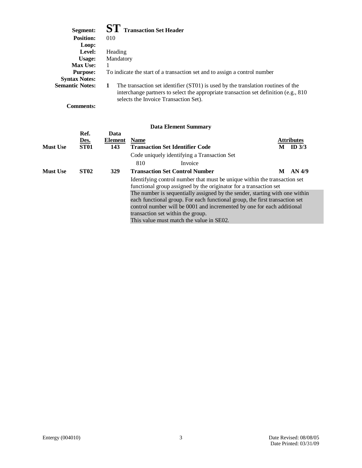| Segment:               | <b>ST</b> Transaction Set Header                                                                                                                                                                                        |
|------------------------|-------------------------------------------------------------------------------------------------------------------------------------------------------------------------------------------------------------------------|
| <b>Position:</b>       | 010                                                                                                                                                                                                                     |
| Loop:                  |                                                                                                                                                                                                                         |
| Level:                 | Heading                                                                                                                                                                                                                 |
| Usage:                 | Mandatory                                                                                                                                                                                                               |
| <b>Max Use:</b>        |                                                                                                                                                                                                                         |
| <b>Purpose:</b>        | To indicate the start of a transaction set and to assign a control number                                                                                                                                               |
| <b>Syntax Notes:</b>   |                                                                                                                                                                                                                         |
| <b>Semantic Notes:</b> | The transaction set identifier (ST01) is used by the translation routines of the<br>1<br>interchange partners to select the appropriate transaction set definition (e.g., 810)<br>selects the Invoice Transaction Set). |
| <b>Comments:</b>       |                                                                                                                                                                                                                         |

|                 |                             |                               | *** *********** ************                                                                                                                                                                                                                                                                                          |   |                               |
|-----------------|-----------------------------|-------------------------------|-----------------------------------------------------------------------------------------------------------------------------------------------------------------------------------------------------------------------------------------------------------------------------------------------------------------------|---|-------------------------------|
| <b>Must Use</b> | Ref.<br>Des.<br><b>ST01</b> | Data<br><b>Element</b><br>143 | <b>Name</b><br><b>Transaction Set Identifier Code</b>                                                                                                                                                                                                                                                                 | M | <b>Attributes</b><br>ID $3/3$ |
|                 |                             |                               | Code uniquely identifying a Transaction Set                                                                                                                                                                                                                                                                           |   |                               |
|                 |                             |                               | 810<br>Invoice                                                                                                                                                                                                                                                                                                        |   |                               |
| <b>Must Use</b> | <b>ST02</b>                 | <b>329</b>                    | <b>Transaction Set Control Number</b>                                                                                                                                                                                                                                                                                 | M | AN 4/9                        |
|                 |                             |                               | Identifying control number that must be unique within the transaction set<br>functional group assigned by the originator for a transaction set                                                                                                                                                                        |   |                               |
|                 |                             |                               | The number is sequentially assigned by the sender, starting with one within<br>each functional group. For each functional group, the first transaction set<br>control number will be 0001 and incremented by one for each additional<br>transaction set within the group.<br>This value must match the value in SE02. |   |                               |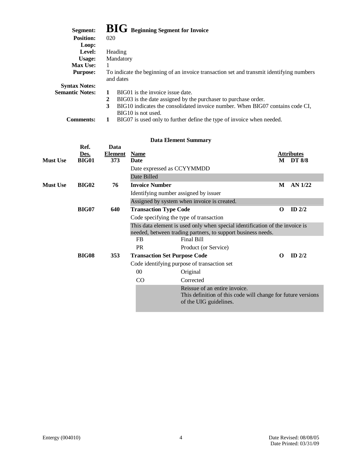| Segment:               | <b>BIG</b> Beginning Segment for Invoice                                                              |
|------------------------|-------------------------------------------------------------------------------------------------------|
| <b>Position:</b>       | 020                                                                                                   |
| Loop:                  |                                                                                                       |
| Level:                 | Heading                                                                                               |
| Usage:                 | Mandatory                                                                                             |
| <b>Max Use:</b>        |                                                                                                       |
| <b>Purpose:</b>        | To indicate the beginning of an invoice transaction set and transmit identifying numbers<br>and dates |
| <b>Syntax Notes:</b>   |                                                                                                       |
| <b>Semantic Notes:</b> | BIG01 is the invoice issue date.                                                                      |
|                        | 2<br>BIG03 is the date assigned by the purchaser to purchase order.                                   |
|                        | BIG10 indicates the consolidated invoice number. When BIG07 contains code CI,<br>3                    |
|                        | BIG10 is not used.                                                                                    |
| Commente:              | RIG07 is used only to further define the type of invoice when needed                                  |

| <b>Comments:</b> |  | BIG07 is used only to further define the type of invoice when needed. |  |  |  |  |  |  |
|------------------|--|-----------------------------------------------------------------------|--|--|--|--|--|--|
|------------------|--|-----------------------------------------------------------------------|--|--|--|--|--|--|

| <b>Data Element Summary</b> |  |
|-----------------------------|--|
|-----------------------------|--|

|                 |                                         |                |                       | рата еленісці эшпінаг у                                                                                                                      |          |                   |
|-----------------|-----------------------------------------|----------------|-----------------------|----------------------------------------------------------------------------------------------------------------------------------------------|----------|-------------------|
|                 | Ref.                                    | Data           |                       |                                                                                                                                              |          |                   |
|                 | Des.                                    | <b>Element</b> | <b>Name</b>           |                                                                                                                                              |          | <b>Attributes</b> |
| <b>Must Use</b> | <b>BIG01</b>                            | 373            | <b>Date</b>           |                                                                                                                                              |          | <b>M</b> DT 8/8   |
|                 |                                         |                |                       | Date expressed as CCYYMMDD                                                                                                                   |          |                   |
|                 |                                         |                | Date Billed           |                                                                                                                                              |          |                   |
| <b>Must Use</b> | <b>BIG02</b>                            | 76             | <b>Invoice Number</b> |                                                                                                                                              | M        | $AN$ 1/22         |
|                 |                                         |                |                       | Identifying number assigned by issuer                                                                                                        |          |                   |
|                 |                                         |                |                       | Assigned by system when invoice is created.                                                                                                  |          |                   |
|                 | <b>BIG07</b>                            | 640            |                       | <b>Transaction Type Code</b>                                                                                                                 | $\Omega$ | ID $2/2$          |
|                 | Code specifying the type of transaction |                |                       |                                                                                                                                              |          |                   |
|                 |                                         |                |                       | This data element is used only when special identification of the invoice is<br>needed, between trading partners, to support business needs. |          |                   |
|                 |                                         |                | <b>FB</b>             | Final Bill                                                                                                                                   |          |                   |
|                 |                                         |                | <b>PR</b>             | Product (or Service)                                                                                                                         |          |                   |
|                 | <b>BIG08</b>                            | 353            |                       | <b>Transaction Set Purpose Code</b>                                                                                                          | 0        | $ID$ 2/2          |
|                 |                                         |                |                       | Code identifying purpose of transaction set                                                                                                  |          |                   |
|                 |                                         |                | $00\,$                | Original                                                                                                                                     |          |                   |
|                 |                                         |                | $\rm CO$              | Corrected                                                                                                                                    |          |                   |
|                 |                                         |                |                       | Reissue of an entire invoice.<br>This definition of this code will change for future versions<br>of the UIG guidelines.                      |          |                   |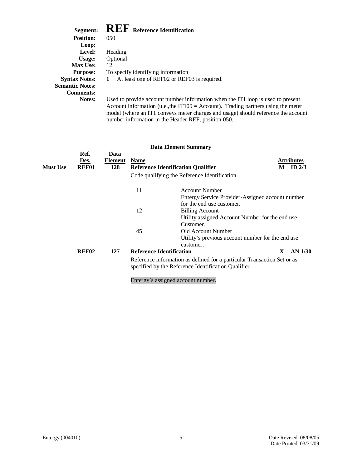## $\mathbf{R} \mathbf{F} \mathbf{F}$  **Reference Identification**

| Segment:               | <b>INLI</b> Reference Identification                                                                        |
|------------------------|-------------------------------------------------------------------------------------------------------------|
| <b>Position:</b>       | 050                                                                                                         |
| Loop:                  |                                                                                                             |
| Level:                 | Heading                                                                                                     |
| Usage:                 | Optional                                                                                                    |
| <b>Max Use:</b>        | 12                                                                                                          |
| <b>Purpose:</b>        | To specify identifying information                                                                          |
| <b>Syntax Notes:</b>   | At least one of REF02 or REF03 is required.                                                                 |
| <b>Semantic Notes:</b> |                                                                                                             |
| <b>Comments:</b>       |                                                                                                             |
| <b>Notes:</b>          | Used to provide account number information who<br>$\Lambda$ coount information (y a the IT100 $-$ A coount) |

rmation when the IT1 loop is used to present Account information (u.e.,the IT109 = Account). Trading partners using the meter model (where an IT1 conveys meter charges and usage) should reference the account number information in the Header REF, position 050.

|          |                              |                        |                                                                                                                                | <b>Data Element Summary</b>                                                                            |   |                               |
|----------|------------------------------|------------------------|--------------------------------------------------------------------------------------------------------------------------------|--------------------------------------------------------------------------------------------------------|---|-------------------------------|
| Must Use | Ref.<br>Des.<br><b>REF01</b> | Data<br>Element<br>128 | <b>Name</b>                                                                                                                    | <b>Reference Identification Qualifier</b>                                                              | M | <b>Attributes</b><br>ID $2/3$ |
|          |                              |                        |                                                                                                                                | Code qualifying the Reference Identification                                                           |   |                               |
|          |                              |                        | 11                                                                                                                             | <b>Account Number</b><br>Entergy Service Provider-Assigned account number<br>for the end use customer. |   |                               |
|          |                              |                        | 12                                                                                                                             | <b>Billing Account</b><br>Utility assigned Account Number for the end use<br>Customer.                 |   |                               |
|          |                              |                        | 45                                                                                                                             | Old Account Number<br>Utility's previous account number for the end use<br>customer.                   |   |                               |
|          | REF <sub>02</sub>            | 127                    | <b>Reference Identification</b>                                                                                                |                                                                                                        | X | AN 1/30                       |
|          |                              |                        | Reference information as defined for a particular Transaction Set or as<br>specified by the Reference Identification Qualifier |                                                                                                        |   |                               |
|          |                              |                        |                                                                                                                                | Entergy's assigned account number.                                                                     |   |                               |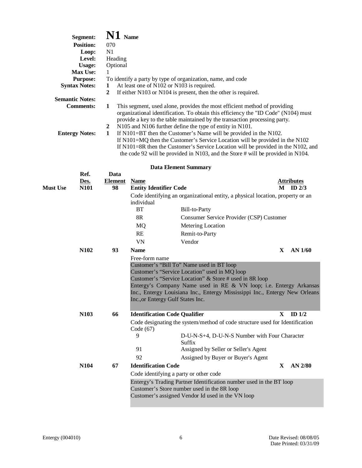|                 | Segment:               | $\mathbf{N1}$ Name |                                           |                                                                                       |    |                   |
|-----------------|------------------------|--------------------|-------------------------------------------|---------------------------------------------------------------------------------------|----|-------------------|
|                 | <b>Position:</b>       | 070                |                                           |                                                                                       |    |                   |
|                 | Loop:                  | N1                 |                                           |                                                                                       |    |                   |
|                 | Level:                 | Heading            |                                           |                                                                                       |    |                   |
|                 | <b>Usage:</b>          | Optional           |                                           |                                                                                       |    |                   |
|                 | Max Use:               | 1                  |                                           |                                                                                       |    |                   |
|                 | <b>Purpose:</b>        |                    |                                           | To identify a party by type of organization, name, and code                           |    |                   |
|                 | <b>Syntax Notes:</b>   | 1                  | At least one of N102 or N103 is required. |                                                                                       |    |                   |
|                 |                        | $\overline{2}$     |                                           | If either N103 or N104 is present, then the other is required.                        |    |                   |
|                 | <b>Semantic Notes:</b> |                    |                                           |                                                                                       |    |                   |
|                 | <b>Comments:</b>       | 1                  |                                           | This segment, used alone, provides the most efficient method of providing             |    |                   |
|                 |                        |                    |                                           | organizational identification. To obtain this efficiency the "ID Code" (N104) must    |    |                   |
|                 |                        |                    |                                           | provide a key to the table maintained by the transaction processing party.            |    |                   |
|                 |                        | $\boldsymbol{2}$   |                                           | N105 and N106 further define the type of entity in N101.                              |    |                   |
|                 | <b>Entergy Notes:</b>  | $\mathbf{1}$       |                                           | If $N101 = BT$ then the Customer's Name will be provided in the N102.                 |    |                   |
|                 |                        |                    |                                           | If N101=MQ then the Customer's Service Location will be provided in the N102          |    |                   |
|                 |                        |                    |                                           | If $N101 = 8R$ then the Customer's Service Location will be provided in the N102, and |    |                   |
|                 |                        |                    |                                           | the code 92 will be provided in N103, and the Store # will be provided in N104.       |    |                   |
|                 |                        |                    |                                           | <b>Data Element Summary</b>                                                           |    |                   |
|                 | Ref.                   | Data               |                                           |                                                                                       |    |                   |
|                 | Des.                   | <b>Element</b>     | <b>Name</b>                               |                                                                                       |    | <b>Attributes</b> |
| <b>Must Use</b> | N101                   | 98                 | <b>Entity Identifier Code</b>             |                                                                                       | М  | ID $2/3$          |
|                 |                        |                    |                                           | Code identifying an organizational entity, a physical location, property or an        |    |                   |
|                 |                        |                    | individual                                |                                                                                       |    |                   |
|                 |                        |                    | <b>BT</b>                                 | Bill-to-Party                                                                         |    |                   |
|                 |                        |                    | 8R                                        | Consumer Service Provider (CSP) Customer                                              |    |                   |
|                 |                        |                    | MQ                                        | Metering Location                                                                     |    |                   |
|                 |                        |                    | RE                                        | Remit-to-Party                                                                        |    |                   |
|                 |                        |                    | VN                                        | Vendor                                                                                |    |                   |
|                 | N102                   | 93                 | <b>Name</b>                               |                                                                                       | X  | AN 1/60           |
|                 |                        |                    | Free-form name                            |                                                                                       |    |                   |
|                 |                        |                    |                                           | Customer's "Bill To" Name used in BT loop                                             |    |                   |
|                 |                        |                    |                                           | Customer's "Service Location" used in MQ loop                                         |    |                   |
|                 |                        |                    |                                           | Customer's "Service Location" & Store # used in 8R loop                               |    |                   |
|                 |                        |                    |                                           | Entergy's Company Name used in RE & VN loop; i.e. Entergy Arkansas                    |    |                   |
|                 |                        |                    |                                           | Inc., Entergy Louisiana Inc., Entergy Mississippi Inc., Entergy New Orleans           |    |                   |
|                 |                        |                    | Inc., or Entergy Gulf States Inc.         |                                                                                       |    |                   |
|                 | N103                   | 66                 | <b>Identification Code Qualifier</b>      |                                                                                       | X  | ID $1/2$          |
|                 |                        |                    |                                           | Code designating the system/method of code structure used for Identification          |    |                   |
|                 |                        |                    | Code (67)                                 |                                                                                       |    |                   |
|                 |                        |                    | 9                                         | D-U-N-S+4, D-U-N-S Number with Four Character                                         |    |                   |
|                 |                        |                    |                                           | Suffix                                                                                |    |                   |
|                 |                        |                    | 91                                        | Assigned by Seller or Seller's Agent                                                  |    |                   |
|                 |                        |                    | 92                                        | Assigned by Buyer or Buyer's Agent                                                    |    |                   |
|                 | N104                   | 67                 | <b>Identification Code</b>                |                                                                                       | X. | AN 2/80           |
|                 |                        |                    | Code identifying a party or other code    |                                                                                       |    |                   |
|                 |                        |                    |                                           | Entergy's Trading Partner Identification number used in the BT loop                   |    |                   |
|                 |                        |                    |                                           | Customer's Store number used in the 8R loop                                           |    |                   |
|                 |                        |                    |                                           | Customer's assigned Vendor Id used in the VN loop                                     |    |                   |
|                 |                        |                    |                                           |                                                                                       |    |                   |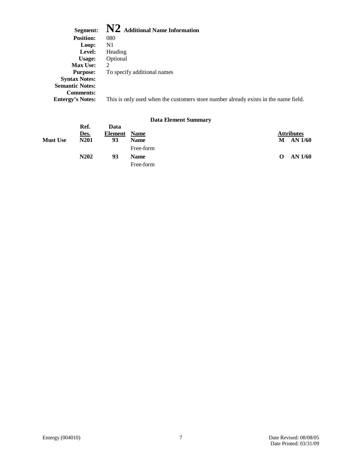| Segment:                | $\bf{N2}$ Additional Name Information                                               |
|-------------------------|-------------------------------------------------------------------------------------|
| <b>Position:</b>        | 080                                                                                 |
| Loop:                   | N <sub>1</sub>                                                                      |
| Level:                  | Heading                                                                             |
| Usage:                  | Optional                                                                            |
| <b>Max Use:</b>         | $\mathcal{D}_{\mathcal{L}}$                                                         |
| <b>Purpose:</b>         | To specify additional names                                                         |
| <b>Syntax Notes:</b>    |                                                                                     |
| <b>Semantic Notes:</b>  |                                                                                     |
| <b>Comments:</b>        |                                                                                     |
| <b>Entergy's Notes:</b> | This is only used when the customers store number already exists in the name field. |
|                         |                                                                                     |

|                 |                               |         | Data Element Summary |                   |
|-----------------|-------------------------------|---------|----------------------|-------------------|
|                 | Ref.                          | Data    |                      |                   |
|                 | Des.                          | Element | <b>Name</b>          | <b>Attributes</b> |
| <b>Must Use</b> | N <sub>201</sub>              | 93      | <b>Name</b>          | AN 1/60<br>М      |
|                 |                               |         | Free-form            |                   |
|                 | N <sub>2</sub> 0 <sub>2</sub> | 93      | <b>Name</b>          | AN 1/60<br>O      |
|                 |                               |         | Free-form            |                   |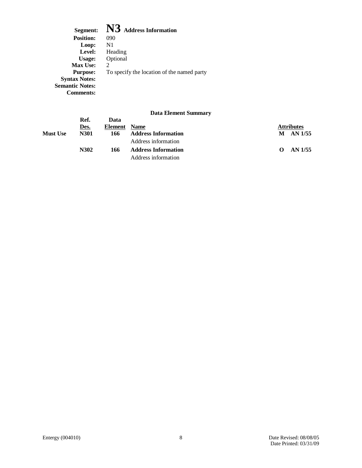Segment: **N3** Address Information<br>Position: 090 **Position:** 090<br>**Loop:** N1 Loop:<br>Level: Level: Heading<br>Usage: Optional Optional<br>2 Max Use:<br>Purpose: To specify the location of the named party **Syntax Notes: Semantic Notes: Comments:**

|                 |              |                 | Duva Littlitent Duminium   |          |                   |
|-----------------|--------------|-----------------|----------------------------|----------|-------------------|
|                 | Ref.<br>Des. | Data<br>Element | <b>Name</b>                |          | <b>Attributes</b> |
| <b>Must Use</b> | <b>N301</b>  | 166             | <b>Address Information</b> |          | M AN 1/55         |
|                 |              |                 | Address information        |          |                   |
|                 | N302         | 166             | <b>Address Information</b> | $\Omega$ | AN 1/55           |
|                 |              |                 | Address information        |          |                   |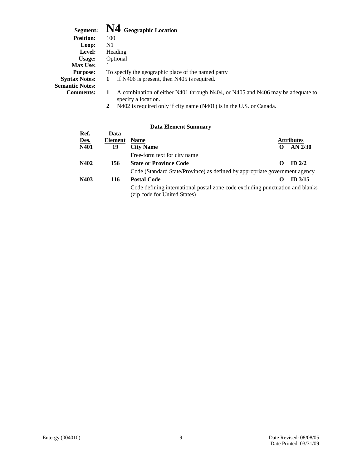| Segment:               | N4 Geographic Location                                                                                |
|------------------------|-------------------------------------------------------------------------------------------------------|
| <b>Position:</b>       | 100                                                                                                   |
| Loop:                  | N1                                                                                                    |
| Level:                 | Heading                                                                                               |
| Usage:                 | Optional                                                                                              |
| <b>Max Use:</b>        |                                                                                                       |
| <b>Purpose:</b>        | To specify the geographic place of the named party                                                    |
| <b>Syntax Notes:</b>   | If N406 is present, then N405 is required.<br>1                                                       |
| <b>Semantic Notes:</b> |                                                                                                       |
| <b>Comments:</b>       | A combination of either N401 through N404, or N405 and N406 may be adequate to<br>specify a location. |
|                        |                                                                                                       |

**2** N402 is required only if city name (N401) is in the U.S. or Canada.

|      |         | рата еленіені эшіннагу                                                                                        |                   |                   |
|------|---------|---------------------------------------------------------------------------------------------------------------|-------------------|-------------------|
| Ref. | Data    |                                                                                                               |                   |                   |
| Des. | Element | <b>Name</b>                                                                                                   |                   | <b>Attributes</b> |
| N401 | 19      | <b>City Name</b>                                                                                              |                   | $AN$ 2/30         |
|      |         | Free-form text for city name                                                                                  |                   |                   |
| N402 | 156     | <b>State or Province Code</b>                                                                                 | റ                 | $ID$ 2/2          |
|      |         | Code (Standard State/Province) as defined by appropriate government agency                                    |                   |                   |
| N403 | 116     | <b>Postal Code</b>                                                                                            | $\mathbf{\Omega}$ | $ID$ 3/15         |
|      |         | Code defining international postal zone code excluding punctuation and blanks<br>(zip code for United States) |                   |                   |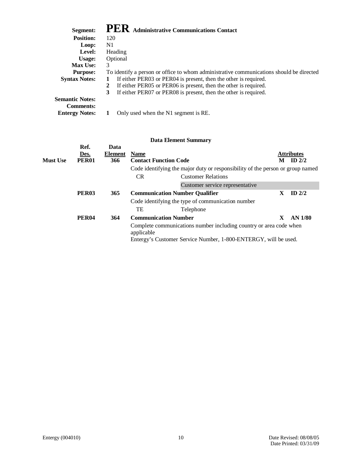| Segment:               | PER Administrative Communications Contact                                               |
|------------------------|-----------------------------------------------------------------------------------------|
| <b>Position:</b>       | 120                                                                                     |
| Loop:                  | N1                                                                                      |
| Level:                 | Heading                                                                                 |
| Usage:                 | Optional                                                                                |
| <b>Max Use:</b>        | 3                                                                                       |
| <b>Purpose:</b>        | To identify a person or office to whom administrative communications should be directed |
| <b>Syntax Notes:</b>   | If either PER03 or PER04 is present, then the other is required.<br>1                   |
|                        | If either PER05 or PER06 is present, then the other is required.<br>2                   |
|                        | If either PER07 or PER08 is present, then the other is required.<br>3                   |
| <b>Semantic Notes:</b> |                                                                                         |
| <b>Comments:</b>       |                                                                                         |
| <b>Entergy Notes:</b>  | Only used when the N1 segment is RE.                                                    |

|                 |                   |         |                                       | <b>Data Element Summary</b>                                                    |   |                   |
|-----------------|-------------------|---------|---------------------------------------|--------------------------------------------------------------------------------|---|-------------------|
|                 | Ref.              | Data    |                                       |                                                                                |   |                   |
|                 | Des.              | Element | <b>Name</b>                           |                                                                                |   | <b>Attributes</b> |
| <b>Must Use</b> | <b>PER01</b>      | 366     | <b>Contact Function Code</b>          |                                                                                | M | ID $2/2$          |
|                 |                   |         |                                       | Code identifying the major duty or responsibility of the person or group named |   |                   |
|                 |                   |         | <b>CR</b>                             | <b>Customer Relations</b>                                                      |   |                   |
|                 |                   |         |                                       | Customer service representative                                                |   |                   |
|                 | PER <sub>03</sub> | 365     | <b>Communication Number Qualifier</b> |                                                                                | X | $ID$ 2/2          |
|                 |                   |         |                                       | Code identifying the type of communication number                              |   |                   |
|                 |                   |         | TE                                    | Telephone                                                                      |   |                   |
|                 | <b>PER04</b>      | 364     | <b>Communication Number</b>           |                                                                                | X | $AN$ 1/80         |
|                 |                   |         | applicable                            | Complete communications number including country or area code when             |   |                   |
|                 |                   |         |                                       | Entergy's Customer Service Number, 1-800-ENTERGY, will be used.                |   |                   |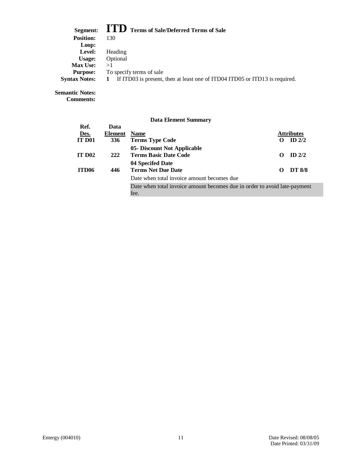## **Segment: ITD Terms of Sale/Deferred Terms of Sale**

| <u>Delinenti</u>     | $\sim$ $\sim$ 101 ms of sure Deterior Terms of Sure                         |
|----------------------|-----------------------------------------------------------------------------|
| <b>Position:</b>     | 130                                                                         |
| Loop:                |                                                                             |
| Level:               | Heading                                                                     |
| Usage:               | Optional                                                                    |
| <b>Max Use:</b>      | >1                                                                          |
| <b>Purpose:</b>      | To specify terms of sale                                                    |
| <b>Syntax Notes:</b> | If ITD03 is present, then at least one of ITD04 ITD05 or ITD13 is required. |
|                      |                                                                             |

**Semantic Notes:**

**Comments:**

|                    |         | рата елепнент эшпинагу                                                            |   |                   |
|--------------------|---------|-----------------------------------------------------------------------------------|---|-------------------|
| Ref.               | Data    |                                                                                   |   |                   |
| Des.               | Element | <b>Name</b>                                                                       |   | <b>Attributes</b> |
| <b>IT D01</b>      | 336     | <b>Terms Type Code</b>                                                            |   | ID $2/2$          |
| IT D <sub>02</sub> | 222     | 05- Discount Not Applicable<br><b>Terms Basic Date Code</b>                       | O | $ID$ 2/2          |
| ITD <sub>06</sub>  | 446     | 04 Specifed Date<br><b>Terms Net Due Date</b>                                     | 0 | <b>DT 8/8</b>     |
|                    |         | Date when total invoice amount becomes due                                        |   |                   |
|                    |         | Date when total invoice amount becomes due in order to avoid late-payment<br>fee. |   |                   |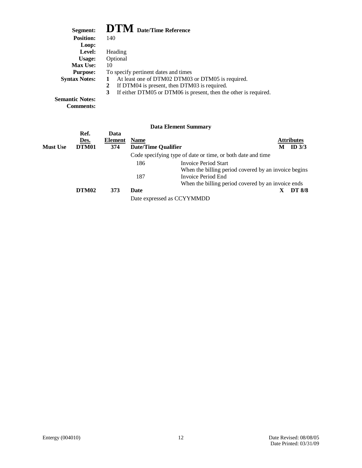## **Segment: DTM Date/Time Reference**

| регшени.               | $\mathbf{L}$ $\mathbf{L}$ $\mathbf{L}$ $\mathbf{V}$ $\mathbf{L}$ $\mathbf{L}$ $\mathbf{R}$ $\mathbf{R}$ $\mathbf{L}$ $\mathbf{R}$ $\mathbf{L}$ $\mathbf{R}$ $\mathbf{L}$ $\mathbf{R}$ $\mathbf{L}$ $\mathbf{L}$ $\mathbf{R}$ $\mathbf{L}$ $\mathbf{L}$ $\mathbf{L}$ $\mathbf{L}$ $\mathbf{L}$ $\mathbf{L}$ $\mathbf{L}$ $\mathbf{$ |
|------------------------|------------------------------------------------------------------------------------------------------------------------------------------------------------------------------------------------------------------------------------------------------------------------------------------------------------------------------------|
| <b>Position:</b>       | 140                                                                                                                                                                                                                                                                                                                                |
| Loop:                  |                                                                                                                                                                                                                                                                                                                                    |
| Level:                 | Heading                                                                                                                                                                                                                                                                                                                            |
| Usage:                 | Optional                                                                                                                                                                                                                                                                                                                           |
| <b>Max Use:</b>        | 10                                                                                                                                                                                                                                                                                                                                 |
| <b>Purpose:</b>        | To specify pertinent dates and times                                                                                                                                                                                                                                                                                               |
| <b>Syntax Notes:</b>   | At least one of DTM02 DTM03 or DTM05 is required.                                                                                                                                                                                                                                                                                  |
|                        | If DTM04 is present, then DTM03 is required.                                                                                                                                                                                                                                                                                       |
|                        | If either DTM05 or DTM06 is present, then the other is required.<br>3                                                                                                                                                                                                                                                              |
| <b>Semantic Notes:</b> |                                                                                                                                                                                                                                                                                                                                    |
|                        |                                                                                                                                                                                                                                                                                                                                    |

**Comments:**

|                 |                       |                               |                                           | рам пленить отници                                          |
|-----------------|-----------------------|-------------------------------|-------------------------------------------|-------------------------------------------------------------|
| <b>Must Use</b> | Ref.<br>Des.<br>DTM01 | Data<br><b>Element</b><br>374 | <b>Name</b><br><b>Date/Time Qualifier</b> | <b>Attributes</b><br>ID $3/3$                               |
|                 |                       |                               |                                           | Code specifying type of date or time, or both date and time |
|                 |                       |                               | 186                                       | <b>Invoice Period Start</b>                                 |
|                 |                       |                               |                                           | When the billing period covered by an invoice begins        |
|                 |                       |                               | 187                                       | Invoice Period End                                          |
|                 |                       |                               |                                           | When the billing period covered by an invoice ends          |
|                 | DTM02                 | 373                           | Date                                      | <b>DT 8/8</b>                                               |
|                 |                       |                               |                                           | Date expressed as CCYYMMDD                                  |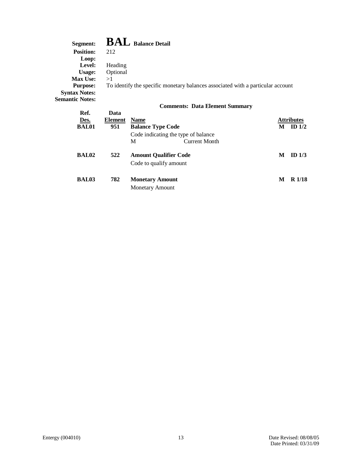| Segment:               | $\mathbf{BAL}$ Balance Detail                                                   |
|------------------------|---------------------------------------------------------------------------------|
| <b>Position:</b>       | 212                                                                             |
| Loop:                  |                                                                                 |
| Level:                 | Heading                                                                         |
| Usage:                 | Optional                                                                        |
| <b>Max Use:</b>        | >1                                                                              |
| <b>Purpose:</b>        | To identify the specific monetary balances associated with a particular account |
| <b>Syntax Notes:</b>   |                                                                                 |
| <b>Semantic Notes:</b> |                                                                                 |
|                        | <b>Comments: Data Element Summary</b>                                           |

| Ref.         | Data    |                                     |                   |                   |
|--------------|---------|-------------------------------------|-------------------|-------------------|
| Des.         | Element | <b>Name</b>                         | <b>Attributes</b> |                   |
| <b>BAL01</b> | 951     | <b>Balance Type Code</b>            | М                 | ID $1/2$          |
|              |         | Code indicating the type of balance |                   |                   |
|              |         | М<br><b>Current Month</b>           |                   |                   |
| <b>BAL02</b> | 522     | <b>Amount Qualifier Code</b>        | M                 | ID $1/3$          |
|              |         | Code to qualify amount              |                   |                   |
| <b>BAL03</b> | 782     | <b>Monetary Amount</b>              | M                 | R <sub>1/18</sub> |
|              |         | <b>Monetary Amount</b>              |                   |                   |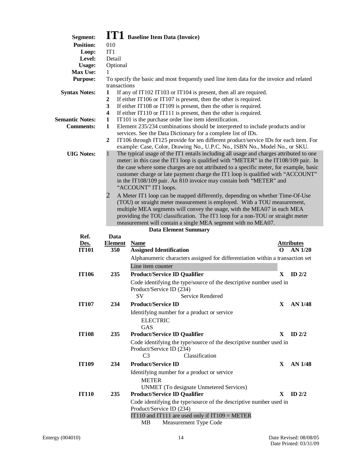| Segment:               |                   | <b>IT1</b> Baseline Item Data (Invoice)                                                                                                                             |              |                   |
|------------------------|-------------------|---------------------------------------------------------------------------------------------------------------------------------------------------------------------|--------------|-------------------|
| <b>Position:</b>       | 010               |                                                                                                                                                                     |              |                   |
| Loop:                  | IT1               |                                                                                                                                                                     |              |                   |
| Level:                 | Detail            |                                                                                                                                                                     |              |                   |
| <b>Usage:</b>          | Optional          |                                                                                                                                                                     |              |                   |
| Max Use:               | 1                 |                                                                                                                                                                     |              |                   |
| <b>Purpose:</b>        |                   | To specify the basic and most frequently used line item data for the invoice and related                                                                            |              |                   |
| <b>Syntax Notes:</b>   | transactions<br>1 | If any of IT102 IT103 or IT104 is present, then all are required.                                                                                                   |              |                   |
|                        | $\boldsymbol{2}$  | If either IT106 or IT107 is present, then the other is required.                                                                                                    |              |                   |
|                        | 3                 | If either IT108 or IT109 is present, then the other is required.                                                                                                    |              |                   |
|                        | 4                 | If either IT110 or IT111 is present, then the other is required.                                                                                                    |              |                   |
| <b>Semantic Notes:</b> | 1                 | IT101 is the purchase order line item identification.                                                                                                               |              |                   |
| <b>Comments:</b>       | $\mathbf{1}$      | Element 235/234 combinations should be interpreted to include products and/or                                                                                       |              |                   |
|                        |                   | services. See the Data Dictionary for a complete list of IDs.                                                                                                       |              |                   |
|                        | $\overline{2}$    | IT106 through IT125 provide for ten different product/service IDs for each item. For<br>example: Case, Color, Drawing No., U.P.C. No., ISBN No., Model No., or SKU. |              |                   |
| <b>UIG Notes:</b>      | $\mathbf{1}$      | The typical usage of the IT1 entails including all usage and charges attributed to one                                                                              |              |                   |
|                        |                   | meter: in this case the IT1 loop is qualified with "METER" in the IT108/109 pair. In                                                                                |              |                   |
|                        |                   | the case where some charges are not attributed to a specific meter, for example, basic                                                                              |              |                   |
|                        |                   | customer charge or late payment charge the IT1 loop is qualified with "ACCOUNT"                                                                                     |              |                   |
|                        |                   | in the IT108/109 pair. An 810 invoice may contain both "METER" and                                                                                                  |              |                   |
|                        |                   | "ACCOUNT" IT1 loops.                                                                                                                                                |              |                   |
|                        | 2                 | A Meter IT1 loop can be mapped differently, depending on whether Time-Of-Use                                                                                        |              |                   |
|                        |                   | (TOU) or straight meter measurement is employed. With a TOU measurement,                                                                                            |              |                   |
|                        |                   | multiple MEA segments will convey the usage, with the MEA07 in each MEA                                                                                             |              |                   |
|                        |                   | providing the TOU classification. The IT1 loop for a non-TOU or straight meter                                                                                      |              |                   |
|                        |                   | measurement will contain a single MEA segment with no MEA07.<br><b>Data Element Summary</b>                                                                         |              |                   |
| Ref.                   | Data              |                                                                                                                                                                     |              |                   |
| Des.                   | <b>Element</b>    | <b>Name</b>                                                                                                                                                         |              | <b>Attributes</b> |
| <b>IT101</b>           | 350               | <b>Assigned Identification</b>                                                                                                                                      | റ            | <b>AN 1/20</b>    |
|                        |                   | Alphanumeric characters assigned for differentiation within a transaction set                                                                                       |              |                   |
|                        |                   | Line item counter                                                                                                                                                   |              |                   |
| <b>IT106</b>           |                   |                                                                                                                                                                     |              |                   |
|                        |                   |                                                                                                                                                                     |              |                   |
|                        | 235               | <b>Product/Service ID Qualifier</b>                                                                                                                                 | $\mathbf{X}$ | ID $2/2$          |
|                        |                   | Code identifying the type/source of the descriptive number used in                                                                                                  |              |                   |
|                        |                   | Product/Service ID (234)                                                                                                                                            |              |                   |
|                        |                   | Service Rendered                                                                                                                                                    |              |                   |
| <b>IT107</b>           | 234               | <b>Product/Service ID</b>                                                                                                                                           | X.           | AN 1/48           |
|                        |                   | Identifying number for a product or service                                                                                                                         |              |                   |
|                        |                   | <b>ELECTRIC</b>                                                                                                                                                     |              |                   |
|                        |                   | GAS                                                                                                                                                                 | X            |                   |
| <b>IT108</b>           | 235               | <b>Product/Service ID Qualifier</b>                                                                                                                                 |              | ID $2/2$          |
|                        |                   | Code identifying the type/source of the descriptive number used in                                                                                                  |              |                   |
|                        |                   | Product/Service ID (234)<br>Classification<br>C <sub>3</sub>                                                                                                        |              |                   |
|                        |                   |                                                                                                                                                                     |              |                   |
| <b>IT109</b>           | 234               | <b>Product/Service ID</b>                                                                                                                                           | X            | <b>AN 1/48</b>    |
|                        |                   | Identifying number for a product or service                                                                                                                         |              |                   |
|                        |                   | <b>METER</b>                                                                                                                                                        |              |                   |
|                        |                   | <b>UNMET</b> (To designate Unmetered Services)                                                                                                                      |              |                   |
| <b>IT110</b>           | 235               | <b>Product/Service ID Qualifier</b>                                                                                                                                 | X.           | ID $2/2$          |
|                        |                   | Code identifying the type/source of the descriptive number used in                                                                                                  |              |                   |
|                        |                   | Product/Service ID (234)                                                                                                                                            |              |                   |
|                        |                   | IT110 and IT111 are used only if IT109 = METER<br>МB<br>Measurement Type Code                                                                                       |              |                   |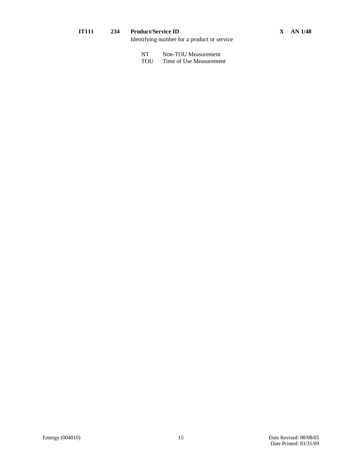#### **IT111 234 Product/Service ID X AN 1/48**

Identifying number for a product or service

| NT |  | Non-TOU Measurement |
|----|--|---------------------|
|----|--|---------------------|

TOU Time of Use Measurement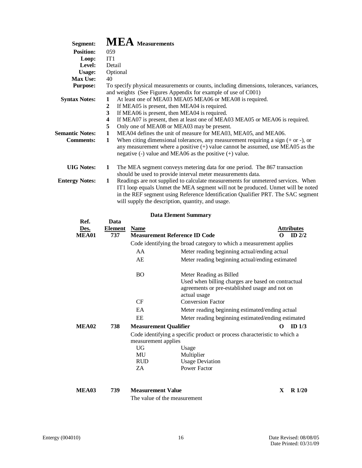| Segment:               | $MEA$ Measurements                                                                                                                                                                  |
|------------------------|-------------------------------------------------------------------------------------------------------------------------------------------------------------------------------------|
| <b>Position:</b>       | 059                                                                                                                                                                                 |
| Loop:                  | IT <sub>1</sub>                                                                                                                                                                     |
| Level:                 | Detail                                                                                                                                                                              |
| <b>Usage:</b>          | Optional                                                                                                                                                                            |
| <b>Max Use:</b>        | 40                                                                                                                                                                                  |
| <b>Purpose:</b>        | To specify physical measurements or counts, including dimensions, tolerances, variances,<br>and weights (See Figures Appendix for example of use of C001)                           |
| <b>Syntax Notes:</b>   | At least one of MEA03 MEA05 MEA06 or MEA08 is required.<br>1                                                                                                                        |
|                        | If MEA05 is present, then MEA04 is required.<br>2                                                                                                                                   |
|                        | 3<br>If MEA06 is present, then MEA04 is required.                                                                                                                                   |
|                        | If MEA07 is present, then at least one of MEA03 MEA05 or MEA06 is required.<br>4                                                                                                    |
|                        | Only one of MEA08 or MEA03 may be present.<br>5                                                                                                                                     |
| <b>Semantic Notes:</b> | MEA04 defines the unit of measure for MEA03, MEA05, and MEA06.<br>1                                                                                                                 |
| <b>Comments:</b>       | When citing dimensional tolerances, any measurement requiring a sign $(+)$ or $-)$ , or<br>$\mathbf{1}$                                                                             |
|                        | any measurement where a positive $(+)$ value cannot be assumed, use MEA05 as the<br>negative $\left(\text{-}\right)$ value and MEA06 as the positive $\left(\text{+}\right)$ value. |
| <b>UIG Notes:</b>      | The MEA segment conveys metering data for one period. The 867 transaction<br>1                                                                                                      |
|                        | should be used to provide interval meter measurements data.                                                                                                                         |
| <b>Entergy Notes:</b>  | Readings are not supplied to calculate measurements for unmetered services. When<br>1                                                                                               |
|                        | IT1 loop equals Unmet the MEA segment will not be produced. Unmet will be noted                                                                                                     |
|                        | in the REF segment using Reference Identification Qualifier PRT. The SAC segment                                                                                                    |
|                        | will supply the description, quantity, and usage.                                                                                                                                   |

|                   |         |                                              | рата елеппент эшпинагу                                                                                                                          |                   |
|-------------------|---------|----------------------------------------------|-------------------------------------------------------------------------------------------------------------------------------------------------|-------------------|
| Ref.              | Data    |                                              |                                                                                                                                                 |                   |
| Des.              | Element | <b>Name</b>                                  |                                                                                                                                                 | <b>Attributes</b> |
| MEA01             | 737     | <b>Measurement Reference ID Code</b>         |                                                                                                                                                 | ID $2/2$<br>O     |
|                   |         |                                              | Code identifying the broad category to which a measurement applies                                                                              |                   |
|                   |         | AA                                           | Meter reading beginning actual/ending actual                                                                                                    |                   |
|                   |         | AE                                           | Meter reading beginning actual/ending estimated                                                                                                 |                   |
|                   |         | <b>BO</b>                                    | Meter Reading as Billed<br>Used when billing charges are based on contractual<br>agreements or pre-established usage and not on<br>actual usage |                   |
|                   |         | CF                                           | <b>Conversion Factor</b>                                                                                                                        |                   |
|                   |         | EA                                           | Meter reading beginning estimated/ending actual                                                                                                 |                   |
|                   |         | EE                                           | Meter reading beginning estimated/ending estimated                                                                                              |                   |
| MEA <sub>02</sub> | 738     | <b>Measurement Qualifier</b>                 |                                                                                                                                                 | ID $1/3$<br>O     |
|                   |         | measurement applies<br>UG<br>MU<br>RUD<br>ZA | Code identifying a specific product or process characteristic to which a<br>Usage<br>Multiplier<br><b>Usage Deviation</b><br>Power Factor       |                   |

| MEA03 | 739 | <b>Measurement Value</b>     | $R_{1/20}$ |
|-------|-----|------------------------------|------------|
|       |     | The value of the measurement |            |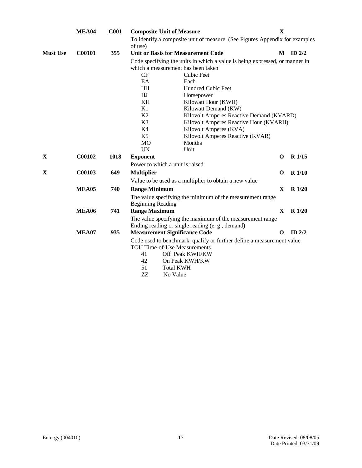|                 | MEA04         | C <sub>001</sub> |                          | <b>Composite Unit of Measure</b>                                                                                  | $\mathbf{X}$ |              |
|-----------------|---------------|------------------|--------------------------|-------------------------------------------------------------------------------------------------------------------|--------------|--------------|
|                 |               |                  |                          | To identify a composite unit of measure (See Figures Appendix for examples                                        |              |              |
| <b>Must Use</b> | C00101        | 355              | of use)                  | <b>Unit or Basis for Measurement Code</b>                                                                         |              | $M$ ID $2/2$ |
|                 |               |                  |                          | Code specifying the units in which a value is being expressed, or manner in<br>which a measurement has been taken |              |              |
|                 |               |                  | CF                       | <b>Cubic Feet</b>                                                                                                 |              |              |
|                 |               |                  | EA                       | Each                                                                                                              |              |              |
|                 |               |                  | HH                       | Hundred Cubic Feet                                                                                                |              |              |
|                 |               |                  | HJ                       | Horsepower                                                                                                        |              |              |
|                 |               |                  | KH                       | Kilowatt Hour (KWH)                                                                                               |              |              |
|                 |               |                  | K1                       | Kilowatt Demand (KW)                                                                                              |              |              |
|                 |               |                  | K2                       | Kilovolt Amperes Reactive Demand (KVARD)                                                                          |              |              |
|                 |               |                  | K <sub>3</sub>           | Kilovolt Amperes Reactive Hour (KVARH)                                                                            |              |              |
|                 |               |                  | K4                       | Kilovolt Amperes (KVA)                                                                                            |              |              |
|                 |               |                  | K <sub>5</sub>           | Kilovolt Amperes Reactive (KVAR)                                                                                  |              |              |
|                 |               |                  | MO                       | Months                                                                                                            |              |              |
|                 |               |                  | <b>UN</b>                | Unit                                                                                                              |              |              |
| X               | C00102        | 1018             | <b>Exponent</b>          |                                                                                                                   | $\Omega$     | $R$ 1/15     |
|                 |               |                  |                          | Power to which a unit is raised                                                                                   |              |              |
| X               | <b>C00103</b> | 649              | <b>Multiplier</b>        |                                                                                                                   | O            | $R$ 1/10     |
|                 |               |                  |                          | Value to be used as a multiplier to obtain a new value                                                            |              |              |
|                 | MEA05         | 740              | <b>Range Minimum</b>     |                                                                                                                   | $\mathbf{X}$ | $R\ 1/20$    |
|                 |               |                  | <b>Beginning Reading</b> | The value specifying the minimum of the measurement range                                                         |              |              |
|                 | <b>MEA06</b>  | 741              | <b>Range Maximum</b>     |                                                                                                                   | $\mathbf{X}$ | $R$ 1/20     |
|                 |               |                  |                          | The value specifying the maximum of the measurement range                                                         |              |              |
|                 |               |                  |                          | Ending reading or single reading (e.g., demand)                                                                   |              |              |
|                 | MEA07         | 935              |                          | <b>Measurement Significance Code</b>                                                                              | $\Omega$     | ID $2/2$     |
|                 |               |                  |                          | Code used to benchmark, qualify or further define a measurement value                                             |              |              |
|                 |               |                  |                          | <b>TOU Time-of-Use Measurements</b>                                                                               |              |              |
|                 |               |                  | 41                       | Off Peak KWH/KW                                                                                                   |              |              |
|                 |               |                  | 42                       | On Peak KWH/KW                                                                                                    |              |              |
|                 |               |                  | 51                       | <b>Total KWH</b>                                                                                                  |              |              |
|                 |               |                  | ZZ                       | No Value                                                                                                          |              |              |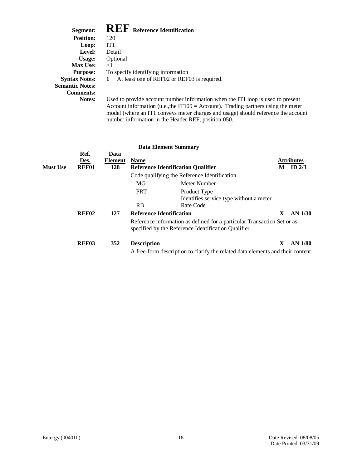## $\mathbf{R}$ **REF Reference Identification**

| Segment:               | <b>INLI</b> Reference Identification                                                                             |
|------------------------|------------------------------------------------------------------------------------------------------------------|
| <b>Position:</b>       | 120                                                                                                              |
| Loop:                  | IT1                                                                                                              |
| Level:                 | Detail                                                                                                           |
| Usage:                 | Optional                                                                                                         |
| <b>Max Use:</b>        | >1                                                                                                               |
| <b>Purpose:</b>        | To specify identifying information                                                                               |
| <b>Syntax Notes:</b> 1 | At least one of REF02 or REF03 is required.                                                                      |
| <b>Semantic Notes:</b> |                                                                                                                  |
| <b>Comments:</b>       |                                                                                                                  |
| <b>Notes:</b>          | Used to provide account number information who<br>$\Lambda$ count information (u.g. the IT100 – $\Lambda$ count) |

when the IT1 loop is used to present Account information (u.e., the IT109 = Account). Trading partners using the meter model (where an IT1 conveys meter charges and usage) should reference the account number information in the Header REF, position 050.

|                 |                       |                        |                    | <b>Data Element Summary</b>                                                                                                    |              |                               |
|-----------------|-----------------------|------------------------|--------------------|--------------------------------------------------------------------------------------------------------------------------------|--------------|-------------------------------|
| <b>Must Use</b> | Ref.<br>Des.<br>REF01 | Data<br>Element<br>128 | <b>Name</b>        | <b>Reference Identification Qualifier</b>                                                                                      | M            | <b>Attributes</b><br>ID $2/3$ |
|                 |                       |                        |                    | Code qualifying the Reference Identification                                                                                   |              |                               |
|                 |                       |                        | MG                 | Meter Number                                                                                                                   |              |                               |
|                 |                       |                        | <b>PRT</b>         | Product Type<br>Identifies service type without a meter                                                                        |              |                               |
|                 |                       |                        | <b>RB</b>          | Rate Code                                                                                                                      |              |                               |
|                 | <b>REF02</b>          | 127                    |                    | <b>Reference Identification</b>                                                                                                | $\mathbf{X}$ | $AN$ 1/30                     |
|                 |                       |                        |                    | Reference information as defined for a particular Transaction Set or as<br>specified by the Reference Identification Qualifier |              |                               |
|                 | REF <sub>03</sub>     | 352                    | <b>Description</b> | A free-form description to clarify the related data elements and their content                                                 | $\mathbf{X}$ | $AN$ 1/80                     |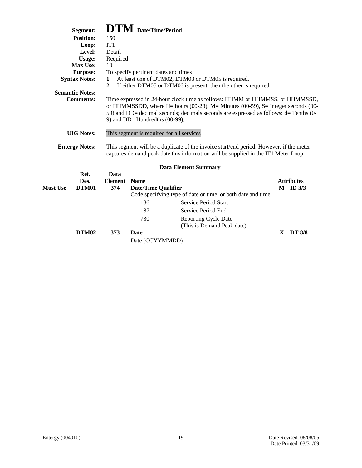|                                                                                                                                                                                                                                                                                                                                                                                                     | Segment:             |                | $\mathbf{DTM}$ Date/Time/Period           |                                                                                                                                                                               |             |                                   |
|-----------------------------------------------------------------------------------------------------------------------------------------------------------------------------------------------------------------------------------------------------------------------------------------------------------------------------------------------------------------------------------------------------|----------------------|----------------|-------------------------------------------|-------------------------------------------------------------------------------------------------------------------------------------------------------------------------------|-------------|-----------------------------------|
|                                                                                                                                                                                                                                                                                                                                                                                                     | <b>Position:</b>     | 150            |                                           |                                                                                                                                                                               |             |                                   |
|                                                                                                                                                                                                                                                                                                                                                                                                     | Loop:                | IT1            |                                           |                                                                                                                                                                               |             |                                   |
|                                                                                                                                                                                                                                                                                                                                                                                                     | Level:               | Detail         |                                           |                                                                                                                                                                               |             |                                   |
|                                                                                                                                                                                                                                                                                                                                                                                                     | Usage:               | Required       |                                           |                                                                                                                                                                               |             |                                   |
|                                                                                                                                                                                                                                                                                                                                                                                                     | Max Use:             | 10             |                                           |                                                                                                                                                                               |             |                                   |
|                                                                                                                                                                                                                                                                                                                                                                                                     | <b>Purpose:</b>      |                | To specify pertinent dates and times      |                                                                                                                                                                               |             |                                   |
|                                                                                                                                                                                                                                                                                                                                                                                                     | <b>Syntax Notes:</b> | 1              |                                           | At least one of DTM02, DTM03 or DTM05 is required.                                                                                                                            |             |                                   |
| $\mathbf{2}$<br>If either DTM05 or DTM06 is present, then the other is required.<br><b>Semantic Notes:</b><br><b>Comments:</b><br>Time expressed in 24-hour clock time as follows: HHMM or HHMMSS, or HHMMSSD,<br>or HHMMSSDD, where H= hours $(00-23)$ , M= Minutes $(00-59)$ , S= Integer seconds $(00-$<br>59) and DD= decimal seconds; decimals seconds are expressed as follows: d= Tenths (0- |                      |                |                                           |                                                                                                                                                                               |             |                                   |
|                                                                                                                                                                                                                                                                                                                                                                                                     | <b>UIG</b> Notes:    |                | 9) and DD= Hundredths (00-99).            | This segment is required for all services                                                                                                                                     |             |                                   |
| <b>Entergy Notes:</b>                                                                                                                                                                                                                                                                                                                                                                               |                      |                |                                           | This segment will be a duplicate of the invoice start/end period. However, if the meter<br>captures demand peak date this information will be supplied in the IT1 Meter Loop. |             |                                   |
|                                                                                                                                                                                                                                                                                                                                                                                                     |                      |                |                                           | <b>Data Element Summary</b>                                                                                                                                                   |             |                                   |
|                                                                                                                                                                                                                                                                                                                                                                                                     | Ref.                 | Data           |                                           |                                                                                                                                                                               |             |                                   |
| Must Use                                                                                                                                                                                                                                                                                                                                                                                            | Des.<br>DTM01        | Element<br>374 | <b>Name</b><br><b>Date/Time Qualifier</b> |                                                                                                                                                                               |             | <b>Attributes</b><br>$M$ ID $3/3$ |
|                                                                                                                                                                                                                                                                                                                                                                                                     |                      |                |                                           | Code specifying type of date or time, or both date and time                                                                                                                   |             |                                   |
|                                                                                                                                                                                                                                                                                                                                                                                                     |                      |                | 186                                       | Service Period Start                                                                                                                                                          |             |                                   |
|                                                                                                                                                                                                                                                                                                                                                                                                     |                      |                | 187                                       | Service Period End                                                                                                                                                            |             |                                   |
|                                                                                                                                                                                                                                                                                                                                                                                                     |                      |                |                                           |                                                                                                                                                                               |             |                                   |
|                                                                                                                                                                                                                                                                                                                                                                                                     |                      |                | 730                                       | <b>Reporting Cycle Date</b><br>(This is Demand Peak date)                                                                                                                     |             |                                   |
|                                                                                                                                                                                                                                                                                                                                                                                                     | DTM02                | 373            | <b>Date</b><br>Date (CCYYMMDD)            |                                                                                                                                                                               | $\mathbf x$ | <b>DT 8/8</b>                     |
|                                                                                                                                                                                                                                                                                                                                                                                                     |                      |                |                                           |                                                                                                                                                                               |             |                                   |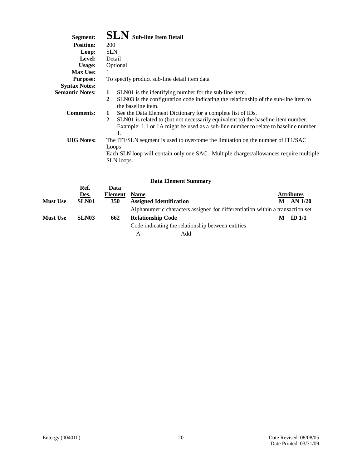| Segment:               | <b>SLN</b> Sub-line Item Detail                                                                                                                                                               |
|------------------------|-----------------------------------------------------------------------------------------------------------------------------------------------------------------------------------------------|
| <b>Position:</b>       | <b>200</b>                                                                                                                                                                                    |
| Loop:                  | <b>SLN</b>                                                                                                                                                                                    |
| <b>Level:</b>          | Detail                                                                                                                                                                                        |
| Usage:                 | Optional                                                                                                                                                                                      |
| <b>Max Use:</b>        | 1                                                                                                                                                                                             |
| <b>Purpose:</b>        | To specify product sub-line detail item data                                                                                                                                                  |
| <b>Syntax Notes:</b>   |                                                                                                                                                                                               |
| <b>Semantic Notes:</b> | SLN01 is the identifying number for the sub-line item.<br>1                                                                                                                                   |
|                        | SLN03 is the configuration code indicating the relationship of the sub-line item to<br>2<br>the baseline item.                                                                                |
| <b>Comments:</b>       | See the Data Element Dictionary for a complete list of IDs.<br>1                                                                                                                              |
|                        | $\mathbf{2}$<br>SLN01 is related to (but not necessarily equivalent to) the baseline item number.<br>Example: 1.1 or 1A might be used as a sub-line number to relate to baseline number<br>1. |
| <b>UIG</b> Notes:      | The IT1/SLN segment is used to overcome the limitation on the number of IT1/SAC<br>Loops                                                                                                      |
|                        | Each SLN loop will contain only one SAC. Multiple charges/allowances require multiple<br>SLN loops.                                                                                           |
|                        |                                                                                                                                                                                               |

|                 |                   |            |                          | Data Element Summary                              |                                                                               |   |                   |
|-----------------|-------------------|------------|--------------------------|---------------------------------------------------|-------------------------------------------------------------------------------|---|-------------------|
|                 | Ref.              | Data       |                          |                                                   |                                                                               |   |                   |
|                 | Des.              | Element    | <b>Name</b>              |                                                   |                                                                               |   | <b>Attributes</b> |
| <b>Must Use</b> | SLN01             | <b>350</b> |                          | <b>Assigned Identification</b>                    |                                                                               | M | AN 1/20           |
|                 |                   |            |                          |                                                   | Alphanumeric characters assigned for differentiation within a transaction set |   |                   |
| <b>Must Use</b> | SLN <sub>03</sub> | 662        | <b>Relationship Code</b> |                                                   |                                                                               | M | ID <sub>1/1</sub> |
|                 |                   |            |                          | Code indicating the relationship between entities |                                                                               |   |                   |
|                 |                   |            | А                        | Add                                               |                                                                               |   |                   |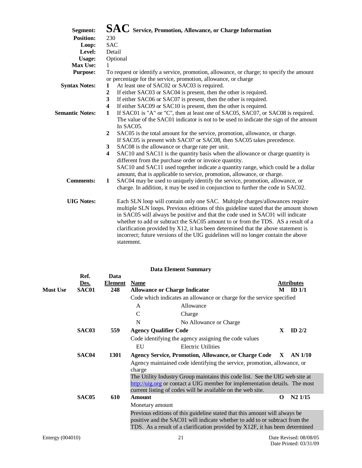| Segment:               | $\mathbf{SAC}\;$ Service, Promotion, Allowance, or Charge Information                                     |
|------------------------|-----------------------------------------------------------------------------------------------------------|
| <b>Position:</b>       | 230                                                                                                       |
| Loop:                  | <b>SAC</b>                                                                                                |
| Level:                 | Detail                                                                                                    |
| <b>Usage:</b>          | Optional                                                                                                  |
| Max Use:               | 1                                                                                                         |
| <b>Purpose:</b>        | To request or identify a service, promotion, allowance, or charge; to specify the amount                  |
|                        | or percentage for the service, promotion, allowance, or charge                                            |
| <b>Syntax Notes:</b>   | At least one of SAC02 or SAC03 is required.<br>1                                                          |
|                        | If either SAC03 or SAC04 is present, then the other is required.<br>$\mathbf{2}$                          |
|                        | 3<br>If either SAC06 or SAC07 is present, then the other is required.                                     |
|                        | If either SAC09 or SAC10 is present, then the other is required.<br>$\overline{\mathbf{4}}$               |
| <b>Semantic Notes:</b> | If SAC01 is "A" or "C", then at least one of SAC05, SAC07, or SAC08 is required.<br>$\mathbf{1}$          |
|                        | The value of the SAC01 indicator is not to be used to indicate the sign of the amount                     |
|                        | In SAC05.                                                                                                 |
|                        | SAC05 is the total amount for the service, promotion, allowance, or charge.<br>$\mathbf{2}$               |
|                        | If SAC05 is present with SAC07 or SAC08, then SAC05 takes precedence.                                     |
|                        | SAC08 is the allowance or charge rate per unit.<br>3                                                      |
|                        | SAC10 and SAC11 is the quantity basis when the allowance or charge quantity is<br>$\overline{\mathbf{4}}$ |
|                        | different from the purchase order or invoice quantity.                                                    |
|                        | SAC10 and SAC11 used together indicate a quantity range, which could be a dollar                          |
|                        | amount, that is applicable to service, promotion, allowance, or charge.                                   |
| <b>Comments:</b>       | SAC04 may be used to uniquely identify the service, promotion, allowance, or<br>1                         |
|                        | charge. In addition, it may be used in conjunction to further the code in SAC02.                          |
|                        |                                                                                                           |
| <b>UIG Notes:</b>      | Each SLN loop will contain only one SAC. Multiple charges/allowances require                              |
|                        | multiple SLN loops. Previous editions of this guideline stated that the amount shown                      |
|                        | in SAC05 will always be positive and that the code used in SAC01 will indicate                            |
|                        | whether to add or subtract the SAC05 amount to or from the TDS. AS a result of a                          |
|                        | clarification provided by X12, it has been determined that the above statement is                         |
|                        | incorrect; future versions of the UIG guidelines will no longer contain the above                         |
|                        |                                                                                                           |
|                        | statement.                                                                                                |

|                 |                              |                               |               | <b>Data Element Summary</b>                                                                                                                                                                                                               |              |                                 |
|-----------------|------------------------------|-------------------------------|---------------|-------------------------------------------------------------------------------------------------------------------------------------------------------------------------------------------------------------------------------------------|--------------|---------------------------------|
| <b>Must Use</b> | Ref.<br><u>Des.</u><br>SAC01 | Data<br><b>Element</b><br>248 | <b>Name</b>   | <b>Allowance or Charge Indicator</b>                                                                                                                                                                                                      | M            | <b>Attributes</b><br>$ID$ $1/1$ |
|                 |                              |                               |               | Code which indicates an allowance or charge for the service specified                                                                                                                                                                     |              |                                 |
|                 |                              |                               | A             | Allowance                                                                                                                                                                                                                                 |              |                                 |
|                 |                              |                               | $\mathcal{C}$ | Charge                                                                                                                                                                                                                                    |              |                                 |
|                 |                              |                               | N             | No Allowance or Charge                                                                                                                                                                                                                    |              |                                 |
|                 | SAC03                        | 559                           |               | <b>Agency Qualifier Code</b>                                                                                                                                                                                                              | X            | ID $2/2$                        |
|                 |                              |                               |               | Code identifying the agency assigning the code values                                                                                                                                                                                     |              |                                 |
|                 |                              |                               | EU            | <b>Electric Utilities</b>                                                                                                                                                                                                                 |              |                                 |
|                 | SAC <sub>04</sub>            | 1301                          |               | <b>Agency Service, Promotion, Allowance, or Charge Code</b>                                                                                                                                                                               | $\mathbf{X}$ | AN 1/10                         |
|                 |                              |                               | charge        | Agency maintained code identifying the service, promotion, allowance, or                                                                                                                                                                  |              |                                 |
|                 |                              |                               |               | The Utility Industry Group maintains this code list. See the UIG web site at<br>http://uig.org or contact a UIG member for implementation details. The most<br>current listing of codes will be available on the web site.                |              |                                 |
|                 | SAC <sub>05</sub>            | 610                           | <b>Amount</b> |                                                                                                                                                                                                                                           | $\Omega$     | $N2$ $1/15$                     |
|                 |                              |                               |               | Monetary amount                                                                                                                                                                                                                           |              |                                 |
|                 |                              |                               |               | Previous editions of this guideline stated that this amount will always be<br>positive and the SAC01 will indicate whether to add to or subtract from the<br>TDS. As a result of a clarification provided by X12F, it has been determined |              |                                 |
|                 |                              |                               |               |                                                                                                                                                                                                                                           |              |                                 |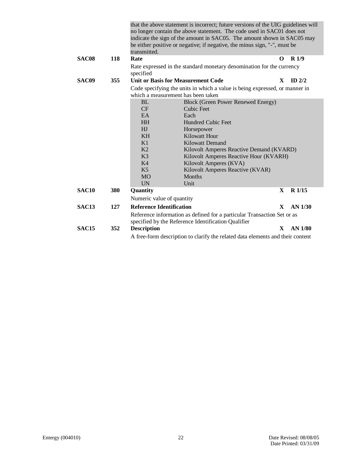|              |     | transmitted.                              | that the above statement is incorrect; future versions of the UIG guidelines will<br>no longer contain the above statement. The code used in SAC01 does not<br>indicate the sign of the amount in SAC05. The amount shown in SAC05 may<br>be either positive or negative; if negative, the minus sign, "-", must be |              |                   |  |
|--------------|-----|-------------------------------------------|---------------------------------------------------------------------------------------------------------------------------------------------------------------------------------------------------------------------------------------------------------------------------------------------------------------------|--------------|-------------------|--|
| SAC08        | 118 | Rate                                      |                                                                                                                                                                                                                                                                                                                     | O            | R1/9              |  |
|              |     | specified                                 | Rate expressed in the standard monetary denomination for the currency                                                                                                                                                                                                                                               |              |                   |  |
| SAC09        | 355 | <b>Unit or Basis for Measurement Code</b> |                                                                                                                                                                                                                                                                                                                     | X            | $ID$ 2/2          |  |
|              |     |                                           | Code specifying the units in which a value is being expressed, or manner in                                                                                                                                                                                                                                         |              |                   |  |
|              |     | which a measurement has been taken        |                                                                                                                                                                                                                                                                                                                     |              |                   |  |
|              |     | <b>BL</b>                                 | Block (Green Power Renewed Energy)                                                                                                                                                                                                                                                                                  |              |                   |  |
|              |     | CF                                        | Cubic Feet                                                                                                                                                                                                                                                                                                          |              |                   |  |
|              |     | <b>EA</b>                                 | Each                                                                                                                                                                                                                                                                                                                |              |                   |  |
|              |     | <b>HH</b>                                 | <b>Hundred Cubic Feet</b>                                                                                                                                                                                                                                                                                           |              |                   |  |
|              |     | HJ                                        | Horsepower                                                                                                                                                                                                                                                                                                          |              |                   |  |
|              |     | <b>KH</b>                                 | Kilowatt Hour                                                                                                                                                                                                                                                                                                       |              |                   |  |
|              |     | K1                                        | Kilowatt Demand                                                                                                                                                                                                                                                                                                     |              |                   |  |
|              |     | K2                                        | Kilovolt Amperes Reactive Demand (KVARD)                                                                                                                                                                                                                                                                            |              |                   |  |
|              |     | K <sub>3</sub>                            | Kilovolt Amperes Reactive Hour (KVARH)                                                                                                                                                                                                                                                                              |              |                   |  |
|              |     | K <sub>4</sub>                            | Kilovolt Amperes (KVA)                                                                                                                                                                                                                                                                                              |              |                   |  |
|              |     | K <sub>5</sub>                            | Kilovolt Amperes Reactive (KVAR)                                                                                                                                                                                                                                                                                    |              |                   |  |
|              |     | <b>MO</b>                                 | <b>Months</b>                                                                                                                                                                                                                                                                                                       |              |                   |  |
|              |     | $\overline{UN}$                           | Unit                                                                                                                                                                                                                                                                                                                |              |                   |  |
| <b>SAC10</b> | 380 | Quantity                                  |                                                                                                                                                                                                                                                                                                                     | $\mathbf{X}$ | R <sub>1/15</sub> |  |
|              |     | Numeric value of quantity                 |                                                                                                                                                                                                                                                                                                                     |              |                   |  |
| <b>SAC13</b> | 127 | <b>Reference Identification</b>           |                                                                                                                                                                                                                                                                                                                     | X            | $AN$ 1/30         |  |
|              |     |                                           | Reference information as defined for a particular Transaction Set or as<br>specified by the Reference Identification Qualifier                                                                                                                                                                                      |              |                   |  |
| <b>SAC15</b> | 352 | <b>Description</b>                        |                                                                                                                                                                                                                                                                                                                     | $\mathbf{x}$ | $AN$ 1/80         |  |
|              |     |                                           | A free-form description to clarify the related data elements and their content                                                                                                                                                                                                                                      |              |                   |  |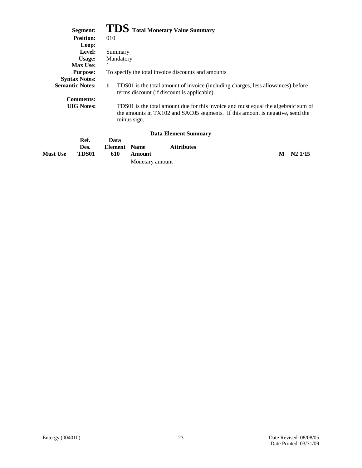# **Segment: TDS Total Monetary Value Summary**

| <b>Position:</b>       | 010                                                                                                                                                                                |
|------------------------|------------------------------------------------------------------------------------------------------------------------------------------------------------------------------------|
| Loop:                  |                                                                                                                                                                                    |
| Level:                 | Summary                                                                                                                                                                            |
| Usage:                 | Mandatory                                                                                                                                                                          |
| <b>Max Use:</b>        | 1                                                                                                                                                                                  |
| <b>Purpose:</b>        | To specify the total invoice discounts and amounts                                                                                                                                 |
| <b>Syntax Notes:</b>   |                                                                                                                                                                                    |
| <b>Semantic Notes:</b> | TDS01 is the total amount of invoice (including charges, less allowances) before<br>1<br>terms discount (if discount is applicable).                                               |
| <b>Comments:</b>       |                                                                                                                                                                                    |
| <b>UIG</b> Notes:      | TDS01 is the total amount due for this invoice and must equal the algebraic sum of<br>the amounts in TX102 and SAC05 segments. If this amount is negative, send the<br>minus sign. |
|                        | <b>Data Element Summary</b>                                                                                                                                                        |

|                 | Ref.  | Data         |                 |                   |                 |
|-----------------|-------|--------------|-----------------|-------------------|-----------------|
|                 | Des.  | Element Name |                 | <b>Attributes</b> |                 |
| <b>Must Use</b> | TDS01 | 610          | Amount          |                   | $M$ $N2$ $1/15$ |
|                 |       |              | Monetary amount |                   |                 |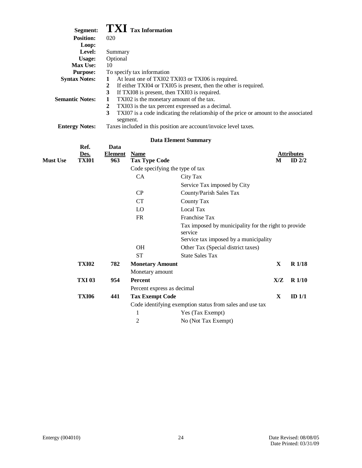| Segment:               | $\boldsymbol{\mathrm{T}}\boldsymbol{\mathrm{X}}\boldsymbol{\mathrm{I}}$ Tax Information   |
|------------------------|-------------------------------------------------------------------------------------------|
| <b>Position:</b>       | 020                                                                                       |
| Loop:                  |                                                                                           |
| Level:                 | Summary                                                                                   |
| Usage:                 | Optional                                                                                  |
| <b>Max Use:</b>        | 10                                                                                        |
| <b>Purpose:</b>        | To specify tax information                                                                |
| <b>Syntax Notes:</b>   | At least one of TXI02 TXI03 or TXI06 is required.<br>1                                    |
|                        | If either TXI04 or TXI05 is present, then the other is required.<br>2                     |
|                        | If TXI08 is present, then TXI03 is required.<br>3                                         |
| <b>Semantic Notes:</b> | TXI02 is the monetary amount of the tax.                                                  |
|                        | TXI03 is the tax percent expressed as a decimal.<br>2                                     |
|                        | TXI07 is a code indicating the relationship of the price or amount to the associated<br>3 |
|                        | segment.                                                                                  |

| <b>Entergy Notes:</b> | Taxes included in this position are account/invoice level taxes. |  |
|-----------------------|------------------------------------------------------------------|--|
|                       |                                                                  |  |

| <b>Attributes</b><br><b>TXI01</b><br>963<br><b>Tax Type Code</b><br>ID $2/2$<br>М<br>Code specifying the type of tax<br>CA<br>City Tax<br>Service Tax imposed by City<br>CP<br>County/Parish Sales Tax<br><b>CT</b><br>County Tax<br>Local Tax<br>LO<br>Franchise Tax<br>FR<br>Tax imposed by municipality for the right to provide<br>service<br>Service tax imposed by a municipality<br><b>OH</b><br>Other Tax (Special district taxes)<br><b>ST</b><br><b>State Sales Tax</b><br>$R$ 1/18<br><b>TXI02</b><br>782<br><b>Monetary Amount</b><br>X<br>Monetary amount<br><b>TXI 03</b><br>954<br>X/Z<br><b>Percent</b><br>R <sub>1/10</sub><br>Percent express as decimal<br><b>TXI06</b><br>441<br>$\mathbf{X}$<br>ID $1/1$<br><b>Tax Exempt Code</b><br>Code identifying exemption status from sales and use tax<br>1<br>Yes (Tax Exempt) |                 | Ref. | Data           |             |                     |  |
|----------------------------------------------------------------------------------------------------------------------------------------------------------------------------------------------------------------------------------------------------------------------------------------------------------------------------------------------------------------------------------------------------------------------------------------------------------------------------------------------------------------------------------------------------------------------------------------------------------------------------------------------------------------------------------------------------------------------------------------------------------------------------------------------------------------------------------------------|-----------------|------|----------------|-------------|---------------------|--|
|                                                                                                                                                                                                                                                                                                                                                                                                                                                                                                                                                                                                                                                                                                                                                                                                                                              | <b>Must Use</b> | Des. | <b>Element</b> | <b>Name</b> |                     |  |
|                                                                                                                                                                                                                                                                                                                                                                                                                                                                                                                                                                                                                                                                                                                                                                                                                                              |                 |      |                |             |                     |  |
|                                                                                                                                                                                                                                                                                                                                                                                                                                                                                                                                                                                                                                                                                                                                                                                                                                              |                 |      |                |             |                     |  |
|                                                                                                                                                                                                                                                                                                                                                                                                                                                                                                                                                                                                                                                                                                                                                                                                                                              |                 |      |                |             |                     |  |
|                                                                                                                                                                                                                                                                                                                                                                                                                                                                                                                                                                                                                                                                                                                                                                                                                                              |                 |      |                |             |                     |  |
|                                                                                                                                                                                                                                                                                                                                                                                                                                                                                                                                                                                                                                                                                                                                                                                                                                              |                 |      |                |             |                     |  |
|                                                                                                                                                                                                                                                                                                                                                                                                                                                                                                                                                                                                                                                                                                                                                                                                                                              |                 |      |                |             |                     |  |
|                                                                                                                                                                                                                                                                                                                                                                                                                                                                                                                                                                                                                                                                                                                                                                                                                                              |                 |      |                |             |                     |  |
|                                                                                                                                                                                                                                                                                                                                                                                                                                                                                                                                                                                                                                                                                                                                                                                                                                              |                 |      |                |             |                     |  |
|                                                                                                                                                                                                                                                                                                                                                                                                                                                                                                                                                                                                                                                                                                                                                                                                                                              |                 |      |                |             |                     |  |
|                                                                                                                                                                                                                                                                                                                                                                                                                                                                                                                                                                                                                                                                                                                                                                                                                                              |                 |      |                |             |                     |  |
|                                                                                                                                                                                                                                                                                                                                                                                                                                                                                                                                                                                                                                                                                                                                                                                                                                              |                 |      |                |             |                     |  |
|                                                                                                                                                                                                                                                                                                                                                                                                                                                                                                                                                                                                                                                                                                                                                                                                                                              |                 |      |                |             |                     |  |
|                                                                                                                                                                                                                                                                                                                                                                                                                                                                                                                                                                                                                                                                                                                                                                                                                                              |                 |      |                |             |                     |  |
|                                                                                                                                                                                                                                                                                                                                                                                                                                                                                                                                                                                                                                                                                                                                                                                                                                              |                 |      |                |             |                     |  |
|                                                                                                                                                                                                                                                                                                                                                                                                                                                                                                                                                                                                                                                                                                                                                                                                                                              |                 |      |                |             |                     |  |
|                                                                                                                                                                                                                                                                                                                                                                                                                                                                                                                                                                                                                                                                                                                                                                                                                                              |                 |      |                |             |                     |  |
|                                                                                                                                                                                                                                                                                                                                                                                                                                                                                                                                                                                                                                                                                                                                                                                                                                              |                 |      |                |             |                     |  |
|                                                                                                                                                                                                                                                                                                                                                                                                                                                                                                                                                                                                                                                                                                                                                                                                                                              |                 |      |                |             |                     |  |
|                                                                                                                                                                                                                                                                                                                                                                                                                                                                                                                                                                                                                                                                                                                                                                                                                                              |                 |      |                | 2           | No (Not Tax Exempt) |  |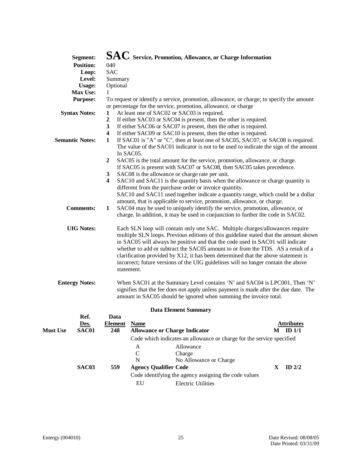|                 | Segment:               |                              | $\mathbf{SAC}\;$ Service, Promotion, Allowance, or Charge Information                                                                                                                                                                                                                                                                                                                                                                                                                                                              |              |                   |  |  |
|-----------------|------------------------|------------------------------|------------------------------------------------------------------------------------------------------------------------------------------------------------------------------------------------------------------------------------------------------------------------------------------------------------------------------------------------------------------------------------------------------------------------------------------------------------------------------------------------------------------------------------|--------------|-------------------|--|--|
|                 | <b>Position:</b>       | 040                          |                                                                                                                                                                                                                                                                                                                                                                                                                                                                                                                                    |              |                   |  |  |
|                 | Loop:                  | <b>SAC</b>                   |                                                                                                                                                                                                                                                                                                                                                                                                                                                                                                                                    |              |                   |  |  |
|                 | Level:                 | Summary                      |                                                                                                                                                                                                                                                                                                                                                                                                                                                                                                                                    |              |                   |  |  |
|                 | <b>Usage:</b>          | Optional                     |                                                                                                                                                                                                                                                                                                                                                                                                                                                                                                                                    |              |                   |  |  |
|                 | Max Use:               | 1                            |                                                                                                                                                                                                                                                                                                                                                                                                                                                                                                                                    |              |                   |  |  |
|                 | <b>Purpose:</b>        |                              | To request or identify a service, promotion, allowance, or charge; to specify the amount                                                                                                                                                                                                                                                                                                                                                                                                                                           |              |                   |  |  |
|                 |                        |                              | or percentage for the service, promotion, allowance, or charge                                                                                                                                                                                                                                                                                                                                                                                                                                                                     |              |                   |  |  |
|                 | <b>Syntax Notes:</b>   | 1                            | At least one of SAC02 or SAC03 is required.                                                                                                                                                                                                                                                                                                                                                                                                                                                                                        |              |                   |  |  |
|                 |                        | $\boldsymbol{2}$             | If either SAC03 or SAC04 is present, then the other is required.                                                                                                                                                                                                                                                                                                                                                                                                                                                                   |              |                   |  |  |
|                 |                        | 3                            | If either SAC06 or SAC07 is present, then the other is required.                                                                                                                                                                                                                                                                                                                                                                                                                                                                   |              |                   |  |  |
|                 |                        | $\overline{\mathbf{4}}$      | If either SAC09 or SAC10 is present, then the other is required.                                                                                                                                                                                                                                                                                                                                                                                                                                                                   |              |                   |  |  |
|                 | <b>Semantic Notes:</b> | $\mathbf{1}$                 | If SAC01 is "A" or "C", then at least one of SAC05, SAC07, or SAC08 is required.<br>The value of the SAC01 indicator is not to be used to indicate the sign of the amount<br>In SAC05.                                                                                                                                                                                                                                                                                                                                             |              |                   |  |  |
|                 |                        | $\overline{2}$               | SAC05 is the total amount for the service, promotion, allowance, or charge.<br>If SAC05 is present with SAC07 or SAC08, then SAC05 takes precedence.                                                                                                                                                                                                                                                                                                                                                                               |              |                   |  |  |
|                 |                        | 3<br>$\overline{\mathbf{4}}$ | SAC08 is the allowance or charge rate per unit.<br>SAC10 and SAC11 is the quantity basis when the allowance or charge quantity is                                                                                                                                                                                                                                                                                                                                                                                                  |              |                   |  |  |
|                 |                        |                              | different from the purchase order or invoice quantity.<br>SAC10 and SAC11 used together indicate a quantity range, which could be a dollar                                                                                                                                                                                                                                                                                                                                                                                         |              |                   |  |  |
|                 |                        |                              | amount, that is applicable to service, promotion, allowance, or charge.                                                                                                                                                                                                                                                                                                                                                                                                                                                            |              |                   |  |  |
|                 | <b>Comments:</b>       | $\mathbf{1}$                 | SAC04 may be used to uniquely identify the service, promotion, allowance, or<br>charge. In addition, it may be used in conjunction to further the code in SAC02.                                                                                                                                                                                                                                                                                                                                                                   |              |                   |  |  |
|                 | <b>UIG Notes:</b>      |                              | Each SLN loop will contain only one SAC. Multiple charges/allowances require<br>multiple SLN loops. Previous editions of this guideline stated that the amount shown<br>in SAC05 will always be positive and that the code used in SAC01 will indicate<br>whether to add or subtract the SAC05 amount to or from the TDS. AS a result of a<br>clarification provided by X12, it has been determined that the above statement is<br>incorrect; future versions of the UIG guidelines will no longer contain the above<br>statement. |              |                   |  |  |
|                 | <b>Entergy Notes:</b>  |                              | When SAC01 at the Summary Level contains 'N' and SAC04 is LPC001, Then 'N'<br>signifies that the fee does not apply unless payment is made after the due date. The<br>amount in SAC05 should be ignored when summing the invoice total.                                                                                                                                                                                                                                                                                            |              |                   |  |  |
|                 | Ref.                   | Data                         | <b>Data Element Summary</b>                                                                                                                                                                                                                                                                                                                                                                                                                                                                                                        |              |                   |  |  |
|                 | Des.                   | <b>Element</b>               | <b>Name</b>                                                                                                                                                                                                                                                                                                                                                                                                                                                                                                                        |              | <b>Attributes</b> |  |  |
| <b>Must Use</b> | SAC01                  | 248                          | <b>Allowance or Charge Indicator</b>                                                                                                                                                                                                                                                                                                                                                                                                                                                                                               |              | $M$ ID $1/1$      |  |  |
|                 |                        |                              | Code which indicates an allowance or charge for the service specified                                                                                                                                                                                                                                                                                                                                                                                                                                                              |              |                   |  |  |
|                 |                        |                              | Allowance<br>A                                                                                                                                                                                                                                                                                                                                                                                                                                                                                                                     |              |                   |  |  |
|                 |                        |                              | $\mathbf C$<br>Charge                                                                                                                                                                                                                                                                                                                                                                                                                                                                                                              |              |                   |  |  |
|                 |                        |                              | $\mathbf N$<br>No Allowance or Charge                                                                                                                                                                                                                                                                                                                                                                                                                                                                                              |              |                   |  |  |
|                 | SAC03                  | 559                          | <b>Agency Qualifier Code</b>                                                                                                                                                                                                                                                                                                                                                                                                                                                                                                       | $\mathbf{X}$ | ID $2/2$          |  |  |
|                 |                        |                              |                                                                                                                                                                                                                                                                                                                                                                                                                                                                                                                                    |              |                   |  |  |
|                 |                        |                              | Code identifying the agency assigning the code values                                                                                                                                                                                                                                                                                                                                                                                                                                                                              |              |                   |  |  |

EU Electric Utilities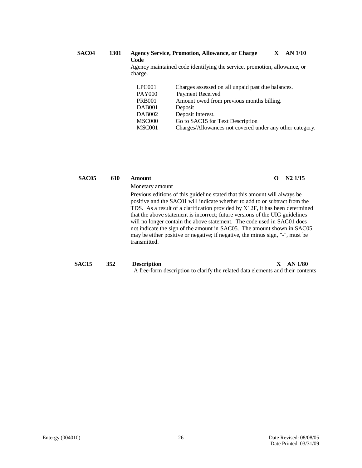#### **SAC04 1301 Agency Service, Promotion, Allowance, or Charge Code X AN 1/10**

Agency maintained code identifying the service, promotion, allowance, or charge.

| LPC <sub>001</sub> | Charges assessed on all unpaid past due balances.        |
|--------------------|----------------------------------------------------------|
| <b>PAY000</b>      | Payment Received                                         |
| <b>PRB001</b>      | Amount owed from previous months billing.                |
| DAB <sub>001</sub> | Deposit                                                  |
| <b>DAB002</b>      | Deposit Interest.                                        |
| MSC000             | Go to SAC15 for Text Description                         |
| MSC001             | Charges/Allowances not covered under any other category. |

| SAC <sub>05</sub> | 610 | Amount                                                                                                                                                                                                                                                                                                                                                                                                                                                                                                                                                                           | റ  | $N2$ 1/15 |
|-------------------|-----|----------------------------------------------------------------------------------------------------------------------------------------------------------------------------------------------------------------------------------------------------------------------------------------------------------------------------------------------------------------------------------------------------------------------------------------------------------------------------------------------------------------------------------------------------------------------------------|----|-----------|
|                   |     | Monetary amount                                                                                                                                                                                                                                                                                                                                                                                                                                                                                                                                                                  |    |           |
|                   |     | Previous editions of this guideline stated that this amount will always be<br>positive and the SAC01 will indicate whether to add to or subtract from the<br>TDS. As a result of a clarification provided by X12F, it has been determined<br>that the above statement is incorrect; future versions of the UIG guidelines<br>will no longer contain the above statement. The code used in SAC01 does<br>not indicate the sign of the amount in SAC05. The amount shown in SAC05<br>may be either positive or negative; if negative, the minus sign, "-", must be<br>transmitted. |    |           |
| <b>SAC15</b>      | 352 | <b>Description</b><br>A free-form description to clarify the related data elements and their contents                                                                                                                                                                                                                                                                                                                                                                                                                                                                            | X. | AN 1/80   |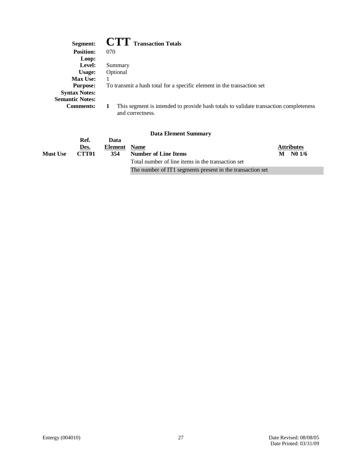| Segment:               | <b>CTT</b> Transaction Totals                                                                            |
|------------------------|----------------------------------------------------------------------------------------------------------|
| <b>Position:</b>       | 070                                                                                                      |
| Loop:                  |                                                                                                          |
| Level:                 | Summary                                                                                                  |
| Usage:                 | Optional                                                                                                 |
| <b>Max Use:</b>        |                                                                                                          |
| <b>Purpose:</b>        | To transmit a hash total for a specific element in the transaction set                                   |
| <b>Syntax Notes:</b>   |                                                                                                          |
| <b>Semantic Notes:</b> |                                                                                                          |
| <b>Comments:</b>       | This segment is intended to provide hash totals to validate transaction completeness<br>and correctness. |

|                 | Ref.  | Data         |                                                           |                   |  |
|-----------------|-------|--------------|-----------------------------------------------------------|-------------------|--|
|                 | Des.  | Element Name |                                                           | <b>Attributes</b> |  |
| <b>Must Use</b> | CTT01 | 354          | Number of Line Items                                      | $M$ No $1/6$      |  |
|                 |       |              | Total number of line items in the transaction set         |                   |  |
|                 |       |              | The number of IT1 segments present in the transaction set |                   |  |